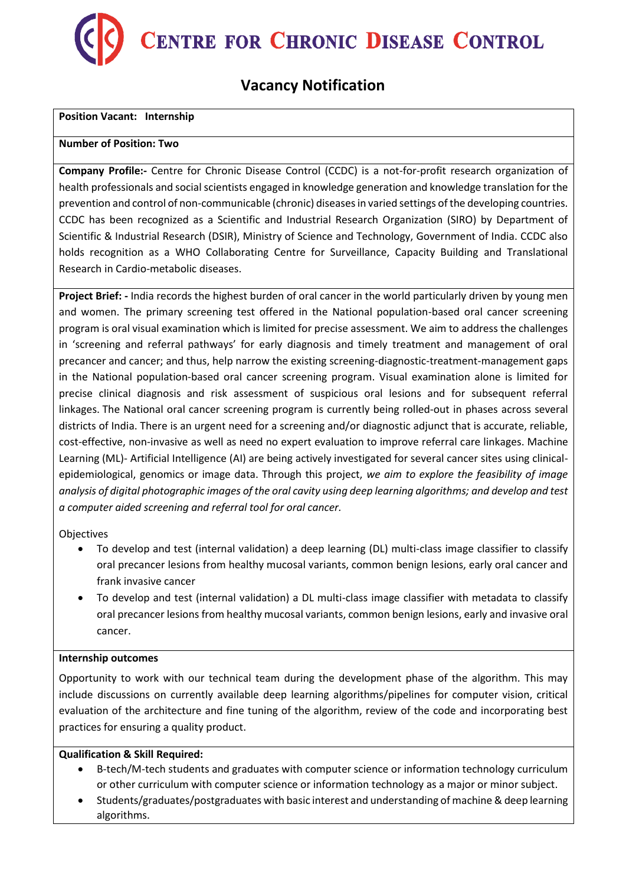

# **Vacancy Notification**

## **Position Vacant: Internship**

### **Number of Position: Two**

**Company Profile:-** Centre for Chronic Disease Control (CCDC) is a not-for-profit research organization of health professionals and social scientists engaged in knowledge generation and knowledge translation for the prevention and control of non-communicable (chronic) diseases in varied settings of the developing countries. CCDC has been recognized as a Scientific and Industrial Research Organization (SIRO) by Department of Scientific & Industrial Research (DSIR), Ministry of Science and Technology, Government of India. CCDC also holds recognition as a WHO Collaborating Centre for Surveillance, Capacity Building and Translational Research in Cardio-metabolic diseases.

**Project Brief: -** India records the highest burden of oral cancer in the world particularly driven by young men and women. The primary screening test offered in the National population-based oral cancer screening program is oral visual examination which is limited for precise assessment. We aim to address the challenges in 'screening and referral pathways' for early diagnosis and timely treatment and management of oral precancer and cancer; and thus, help narrow the existing screening-diagnostic-treatment-management gaps in the National population-based oral cancer screening program. Visual examination alone is limited for precise clinical diagnosis and risk assessment of suspicious oral lesions and for subsequent referral linkages. The National oral cancer screening program is currently being rolled-out in phases across several districts of India. There is an urgent need for a screening and/or diagnostic adjunct that is accurate, reliable, cost-effective, non-invasive as well as need no expert evaluation to improve referral care linkages. Machine Learning (ML)- Artificial Intelligence (AI) are being actively investigated for several cancer sites using clinicalepidemiological, genomics or image data. Through this project, *we aim to explore the feasibility of image analysis of digital photographic images of the oral cavity using deep learning algorithms; and develop and test a computer aided screening and referral tool for oral cancer.*

Objectives

- To develop and test (internal validation) a deep learning (DL) multi-class image classifier to classify oral precancer lesions from healthy mucosal variants, common benign lesions, early oral cancer and frank invasive cancer
- To develop and test (internal validation) a DL multi-class image classifier with metadata to classify oral precancer lesions from healthy mucosal variants, common benign lesions, early and invasive oral cancer.

#### **Internship outcomes**

Opportunity to work with our technical team during the development phase of the algorithm. This may include discussions on currently available deep learning algorithms/pipelines for computer vision, critical evaluation of the architecture and fine tuning of the algorithm, review of the code and incorporating best practices for ensuring a quality product.

# **Qualification & Skill Required:**

- B-tech/M-tech students and graduates with computer science or information technology curriculum or other curriculum with computer science or information technology as a major or minor subject.
- Students/graduates/postgraduates with basic interest and understanding of machine & deep learning algorithms.